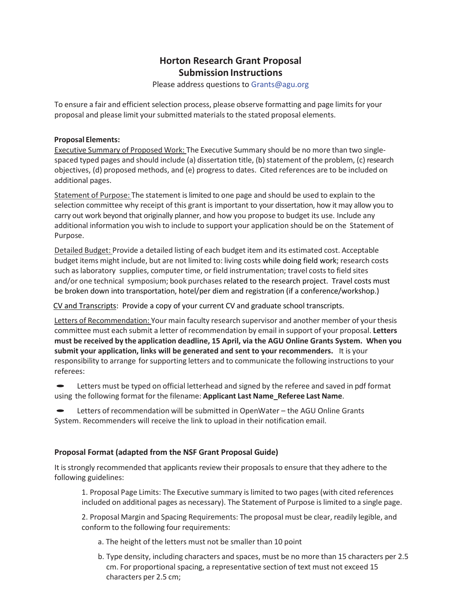## **Horton Research Grant Proposal Submission Instructions**

Please address questions to [Grants@agu.org](mailto:Grants@agu.org)

To ensure a fair and efficient selection process, please observe formatting and page limits for your proposal and please limit your submitted materialsto the stated proposal elements.

## **Proposal Elements:**

Executive Summary of Proposed Work: The Executive Summary should be no more than two singlespaced typed pages and should include (a) dissertation title, (b) statement of the problem, (c) research objectives, (d) proposed methods, and (e) progress to dates. Cited references are to be included on additional pages.

Statement of Purpose: The statement is limited to one page and should be used to explain to the selection committee why receipt of this grant is important to your dissertation, how it may allow you to carry out work beyond that originally planner, and how you propose to budget its use. Include any additional information you wish to include to support your application should be on the Statement of Purpose.

Detailed Budget: Provide a detailed listing of each budget item and its estimated cost. Acceptable budget items might include, but are not limited to: living costs while doing field work; research costs such as laboratory supplies, computer time, or field instrumentation; travel coststo field sites and/or one technical symposium; book purchases related to the research project. Travel costs must be broken down into transportation, hotel/per diem and registration (if a conference/workshop.)

CV and Transcripts: Provide a copy of your current CV and graduate school transcripts.

Letters of Recommendation: Your main faculty research supervisor and another member of your thesis committee must each submit a letter of recommendation by email in support of your proposal. **Letters must be received by the application deadline, 15 April, via the AGU Online Grants System. When you submit your application, links will be generated and sent to your recommenders.** It is your responsibility to arrange forsupporting letters and to communicate the following instructions to your referees:

Letters must be typed on official letterhead and signed by the referee and saved in pdf format using the following format for the filename: **Applicant Last Name\_Referee Last Name**.

• Letters of recommendation will be submitted in OpenWater – the AGU Online Grants System. Recommenders will receive the link to upload in their notification email.

## **Proposal Format (adapted from the NSF Grant Proposal Guide)**

It is strongly recommended that applicants review their proposals to ensure that they adhere to the following guidelines:

1. Proposal Page Limits: The Executive summary is limited to two pages(with cited references included on additional pages as necessary). The Statement of Purpose is limited to a single page.

2. Proposal Margin and Spacing Requirements: The proposal must be clear, readily legible, and conform to the following four requirements:

- a. The height of the letters must not be smaller than 10 point
- b. Type density, including characters and spaces, must be no more than 15 characters per 2.5 cm. For proportional spacing, a representative section of text must not exceed 15 characters per 2.5 cm;